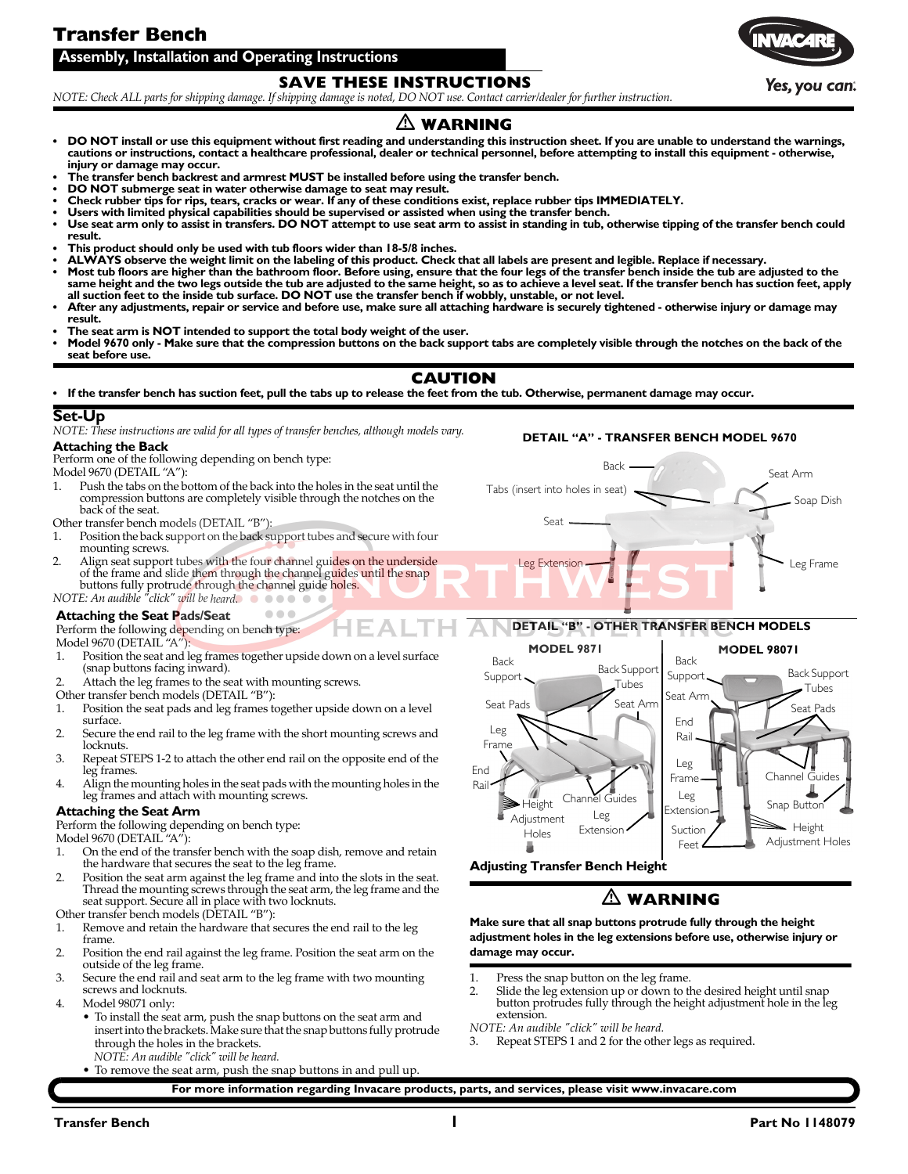## **Transfer Bench**

**Assembly, Installation and Operating Instructions**

### **SAVE THESE INSTRUCTIONS**

NOTE: Check ALL parts for shipping damage. If shipping damage is noted, DO NOT use. Contact carrier/dealer for further instruction.

### **WARNING**

- **DO NOT install or use this equipment without first reading and understanding this instruction sheet. If you are unable to understand the warnings, cautions or instructions, contact a healthcare professional, dealer or technical personnel, before attempting to install this equipment - otherwise, injury or damage may occur.**
- **The transfer bench backrest and armrest MUST be installed before using the transfer bench.**
- **DO NOT submerge seat in water otherwise damage to seat may result.**
- **Check rubber tips for rips, tears, cracks or wear. If any of these conditions exist, replace rubber tips IMMEDIATELY.**
- Users with limited physical capabilities should be supervised or assisted when using the transfer bench.<br>• Use seat arm only to assist in transfers. DO NOT attempt to use seat arm to assist in standing in tub, otherw **result.**
- **This product should only be used with tub floors wider than 18-5/8 inches.**
- **ALWAYS observe the weight limit on the labeling of this product. Check that all labels are present and legible. Replace if necessary.**
- **Most tub floors are higher than the bathroom floor. Before using, ensure that the four legs of the transfer bench inside the tub are adjusted to the**  same height and the two legs outside the tub are adjusted to the same height, so as to achieve a level seat. If the transfer bench has suction feet, apply<br>all suction feet to the inside tub surface. DO NOT use the transfer
- **After any adjustments, repair or service and before use, make sure all attaching hardware is securely tightened otherwise injury or damage may result.**
- **The seat arm is NOT intended to support the total body weight of the user.**
- **Model 9670 only Make sure that the compression buttons on the back support tabs are completely visible through the notches on the back of the seat before use.**

### **CAUTION**

**• If the transfer bench has suction feet, pull the tabs up to release the feet from the tub. Otherwise, permanent damage may occur.**

### **Set-Up**

*NOTE: These instructions are valid for all types of transfer benches, although models vary.*

### **Attaching the Back**

Perform one of the following depending on bench type: Model 9670 (DETAIL "A"):

1. Push the tabs on the bottom of the back into the holes in the seat until the compression buttons are completely visible through the notches on the back of the seat.

Other transfer bench models (DETAIL "B"):<br>1. Position the back support on the back support

- Position the back support on the back support tubes and secure with four mounting screws.
- 2. Align seat support tubes with the four channel guides on the underside of the frame and slide them through the channel guides until the snap buttons fully protrude through the channel guide holes.
- $NOTE: An \t *audible*$   $"click"$  *will* be heard.  $\bullet \bullet \bullet \bullet$

### **Attaching the Seat Pads/Seat**

Perform the following depending on bench type:

Model 9670 (DETAIL "A"):<br>1. Position the seat and l Position the seat and leg frames together upside down on a level surface (snap buttons facing inward).

 $\bullet\bullet\bullet$ 

- 2. Attach the leg frames to the seat with mounting screws.
- Other transfer bench models (DETAIL "B"):
- 1. Position the seat pads and leg frames together upside down on a level surface.
- 2. Secure the end rail to the leg frame with the short mounting screws and locknuts.
- 3. Repeat STEPS 1‐2 to attach the other end rail on the opposite end of the leg frames.
- 4. Align the mounting holes in the seatpads with the mounting holes in the leg frames and attach with mounting screws.

### **Attaching the Seat Arm**

Perform the following depending on bench type:

Model 9670 (DETAIL "A"):<br>1. On the end of the tran

- 1. On the end of the transfer bench with the soap dish, remove and retain the hardware that secures the seat to the leg frame.
- 2. Position the seat arm against the leg frame and into the slots in the seat. Thread the mounting screws through the seat arm, the leg frame and the seat support. Secure all in place with two locknuts.

Other transfer bench models (DETAIL "B"):<br>1. Remove and retain the hardware that s

- Remove and retain the hardware that secures the end rail to the leg frame.
- 2. Position the end rail against the leg frame. Position the seat arm on the outside of the leg frame.
- 3. Secure the end rail and seat arm to the leg frame with two mounting screws and locknuts.
- 4. Model 98071 only:
	- To install the seat arm, push the snap buttons on the seat arm and insert into the brackets. Make sure that the snap buttons fully protrude through the holes in the brackets.
		- *NOTE: An audible ʺclickʺ will be heard.*
		- To remove the seat arm, push the snap buttons in and pull up.

### **DETAIL "A" - TRANSFER BENCH MODEL 9670**





### **WARNING**

**Make sure that all snap buttons protrude fully through the height adjustment holes in the leg extensions before use, otherwise injury or damage may occur.**

- 
- 1. Press the snap button on the leg frame.<br>2. Slide the leg extension up or down to the desired height until snap button protrudes fully through the height adjustment hole in the leg extension.

*NOTE: An audible "click" will be heard.*<br>3 Repeat STEPS 1 and 2 for the other

Repeat STEPS 1 and 2 for the other legs as required.

**For more information regarding Invacare products, parts, and services, please visit www.invacare.com**

Yes. vou can.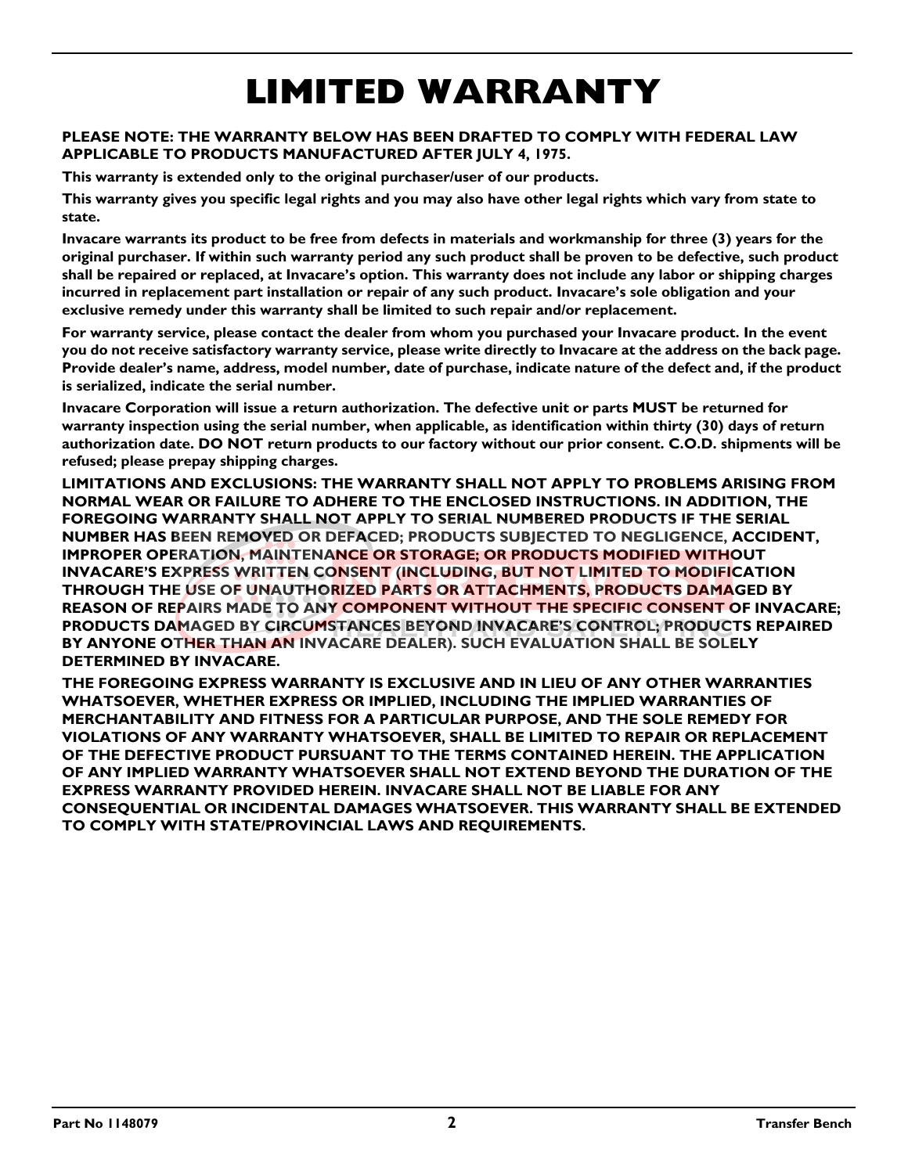# **LIMITED WARRANTY**

### **PLEASE NOTE: THE WARRANTY BELOW HAS BEEN DRAFTED TO COMPLY WITH FEDERAL LAW APPLICABLE TO PRODUCTS MANUFACTURED AFTER JULY 4, 1975.**

**This warranty is extended only to the original purchaser/user of our products.**

**This warranty gives you specific legal rights and you may also have other legal rights which vary from state to state.**

**Invacare warrants its product to be free from defects in materials and workmanship for three (3) years for the original purchaser. If within such warranty period any such product shall be proven to be defective, such product shall be repaired or replaced, at Invacare's option. This warranty does not include any labor or shipping charges incurred in replacement part installation or repair of any such product. Invacare's sole obligation and your exclusive remedy under this warranty shall be limited to such repair and/or replacement.**

**For warranty service, please contact the dealer from whom you purchased your Invacare product. In the event you do not receive satisfactory warranty service, please write directly to Invacare at the address on the back page. Provide dealer's name, address, model number, date of purchase, indicate nature of the defect and, if the product is serialized, indicate the serial number.**

**Invacare Corporation will issue a return authorization. The defective unit or parts MUST be returned for warranty inspection using the serial number, when applicable, as identification within thirty (30) days of return authorization date. DO NOT return products to our factory without our prior consent. C.O.D. shipments will be refused; please prepay shipping charges.**

**LIMITATIONS AND EXCLUSIONS: THE WARRANTY SHALL NOT APPLY TO PROBLEMS ARISING FROM NORMAL WEAR OR FAILURE TO ADHERE TO THE ENCLOSED INSTRUCTIONS. IN ADDITION, THE FOREGOING WARRANTY SHALL NOT APPLY TO SERIAL NUMBERED PRODUCTS IF THE SERIAL NUMBER HAS BEEN REMOVED OR DEFACED; PRODUCTS SUBJECTED TO NEGLIGENCE, ACCIDENT, IMPROPER OPERATION, MAINTENANCE OR STORAGE; OR PRODUCTS MODIFIED WITHOUT INVACARE'S EXPRESS WRITTEN CONSENT (INCLUDING, BUT NOT LIMITED TO MODIFICATION THROUGH THE USE OF UNAUTHORIZED PARTS OR ATTACHMENTS, PRODUCTS DAMAGED BY REASON OF REPAIRS MADE TO ANY COMPONENT WITHOUT THE SPECIFIC CONSENT OF INVACARE; PRODUCTS DAMAGED BY CIRCUMSTANCES BEYOND INVACARE'S CONTROL; PRODUCTS REPAIRED BY ANYONE OTHER THAN AN INVACARE DEALER). SUCH EVALUATION SHALL BE SOLELY DETERMINED BY INVACARE.**

**THE FOREGOING EXPRESS WARRANTY IS EXCLUSIVE AND IN LIEU OF ANY OTHER WARRANTIES WHATSOEVER, WHETHER EXPRESS OR IMPLIED, INCLUDING THE IMPLIED WARRANTIES OF MERCHANTABILITY AND FITNESS FOR A PARTICULAR PURPOSE, AND THE SOLE REMEDY FOR VIOLATIONS OF ANY WARRANTY WHATSOEVER, SHALL BE LIMITED TO REPAIR OR REPLACEMENT OF THE DEFECTIVE PRODUCT PURSUANT TO THE TERMS CONTAINED HEREIN. THE APPLICATION OF ANY IMPLIED WARRANTY WHATSOEVER SHALL NOT EXTEND BEYOND THE DURATION OF THE EXPRESS WARRANTY PROVIDED HEREIN. INVACARE SHALL NOT BE LIABLE FOR ANY CONSEQUENTIAL OR INCIDENTAL DAMAGES WHATSOEVER. THIS WARRANTY SHALL BE EXTENDED TO COMPLY WITH STATE/PROVINCIAL LAWS AND REQUIREMENTS.**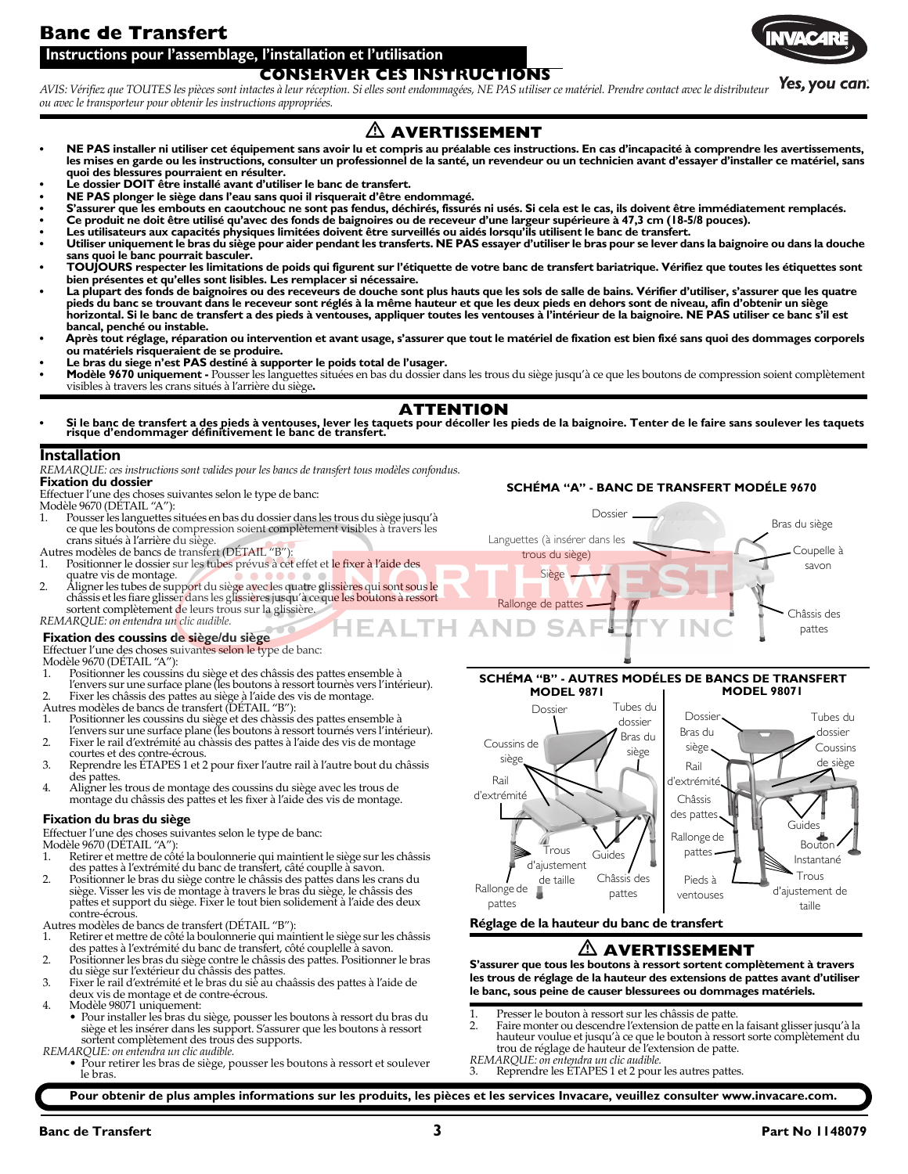## **Banc de Transfert**



### **CONSERVER CES INSTRUCTIONS Instructions pour l'assemblage, l'installation et l'utilisation**

Yes, you can. AVIS: Vérifiez que TOUTES les pièces sont intactes à leur réception. Si elles sont endommagées, NE PAS utiliser ce matériel. Prendre contact avec le distributeur *ou avec le transporteur pour obtenir les instructions appropriées.*

### **AVERTISSEMENT**

- NE PAS installer ni utiliser cet équipement sans avoir lu et compris au préalable ces instructions. En cas d'incapacité à comprendre les avertissements, وNE PAS instructions, consulter un professionnel de la santé, un reve **quoi des blessures pourraient en résulter.**
- **Le dossier DOIT être installé avant d'utiliser le banc de transfert.**
- **NE PAS plonger le siège dans l'eau sans quoi il risquerait d'être endommagé.**
- **S'assurer que les embouts en caoutchouc ne sont pas fendus, déchirés, fissurés ni usés. Si cela est le cas, ils doivent être immédiatement remplacés.**
- Ce produit ne doit être utilisé qu'avec des fonds de baignoires ou de receveur d'une largeur supérieure à 47,3 cm (18-5/8 pouces).<br>• Les utilisateurs aux capacités physiques limitées doivent être surveillés ou
- 
- **Utiliser uniquement le bras du siège pour aider pendant les transferts. NE PAS essayer d'utiliser le bras pour se lever dans la baignoire ou dans la douche**
- **sans quoi le banc pourrait basculer. TOUJOURS respecter les limitations de poids qui figurent sur l'étiquette de votre banc de transfert bariatrique. Vérifiez que toutes les étiquettes sont bien présentes et qu'elles sont lisibles. Les remplacer si nécessaire.**
- La plupart des fonds de baignoires ou des receveurs de douche sont plus hauts que les sols de salle de bains. Vérifier d'utiliser, s'assurer que les quatre ("La hoten pieds du banc se trouvant dans le receveur sont réglés **horizontal. Si le banc de transfert a des pieds à ventouses, appliquer toutes les ventouses à l'intérieur de la baignoire. NE PAS utiliser ce banc s'il est bancal, penché ou instable.**
- **Après tout réglage, réparation ou intervention et avant usage, s'assurer que tout le matériel de fixation est bien fixé sans quoi des dommages corporels ou matériels risqueraient de se produire.**
- **Le bras du siege n'est PAS destiné à supporter le poids total de l'usager.**
- **Modèle 9670 uniquement** Pousser les languettes situées en bas du dossier dans les trous du siège jusqu'à ce que les boutons de compression soient complètement visibles à travers les crans situés à l'arrière du siège**.**

### **ATTENTION**

**• Si le banc de transfert a des pieds à ventouses, lever les taquets pour décoller les pieds de la baignoire. Tenter de le faire sans soulever les taquets risque d'endommager définitivement le banc de transfert.**

### **Installation**

*REMARQUE: ces instructions sont valides pour les bancs de transfert tous modèles confondus.* **Fixation du dossier**

Effectuer l'une des choses suivantes selon le type de banc:

Modèle 9670 (DÉTAIL "A"):<br>1. Pousser les languettes s

- 1. Pousserles languettes situées en bas du dossier dans les trous du siège jusqu'à ce que les boutons de compression soient complètement visibles à travers les
- crans situés à l'arrière du siège. Autres modèles de bancs de transfert (DÉTAIL "B"):
- 1. Positionner le dossier sur les tubes prévus à cet effet et le fixer à l'aide des
- quatre vis de montage.<br>2. Aligner les tubes de support du siège avec les quatre glissières qui sont sous le châssis etles fiare glisser dans les glissières jusqu'à ce que les boutons à ressort sortent complètement de leurs trous sur la glissière. *REMARQUE: on entendra un clic audible.*

- **Fixation des coussins de siège/du siège** Effectuer l'une des choses suivantes selon le type de banc:
- 
- Modèle 9670 (DÉTAIL "A"):
- 1. Positionner les coussins du siège et des châssis des pattes ensemble à l'envers sur une surface plane (les boutons à ressort tournès vers l'intérieur).
- 
- 2. Fixer les châssis des pattes au siège à l'aide des vis de montage. Autres modèles de bancs de transfert (DÉTAIL "B"):
- 1. Positionner les coussins du siège et des chàssis des pattes ensemble à
- l'envers sur une surface plane (les boutons à ressort tournés vers l'intérieur).
- 2. Fixer le rail d'extrémité au chàssis des pattes à l'aide des vis de montage courtes et des contre‐écrous.
- 3. Reprendre les ÉTAPES 1 et 2 pour fixer l'autre rail à l'autre bout du châssis des pattes.
- 4. Aligner les trous de montage des coussins du siège avec les trous de montage du châssis des pattes et les fixer à l'aide des vis de montage.

### **Fixation du bras du siège**

Effectuer l'une des choses suivantes selon le type de banc: Modèle 9670 (DÉTAIL "A"):

- Retirer et mettre de côté la boulonnerie qui maintient le siège sur les châssis des pattes à l'extrémité du banc de transfert, câté couplle à savon.
- 2. Positionner le bras du siège contre le châssis des pattes dans les crans du siège. Visser les vis de montage à travers le bras du siège, le châssis des pattes et support du siège. Fixer le tout bien solidement à l'aide des deux contre-écrous
- Autres modèles de bancs de transfert (DÉTAIL "B"):
- 1. Retirer et mettre de côté la boulonnerie qui maintient le siège surles châssis des pattes à l'extrémité du banc de transfert, côté couplelle à savon.
- 2. Positionner les bras du siège contre le châssis des pattes. Positionner le bras du siège sur l'extérieur du châssis des pattes. 3. Fixer le rail d'extrémité et le bras du siè au chaâssis des pattes à l'aide de
- deux vis de montage et de contre‐écrous.
- 4. Modèle 98071 uniquement:
- Pour installer les bras du siège, pousser les boutons à ressort du bras du siège et les insérer dans les support. S'assurer que les boutons à ressort sortent complètement des trous des supports. *REMARQUE: on entendra un clic audible.*
	- Pour retirer les bras de siège, pousser les boutons à ressort et soulever le bras.

Dossier **SCHÉMA "A" - BANC DE TRANSFERT MODÉLE 9670**



### **SCHÉMA "B" - AUTRES MODÉLES DE BANCS DE TRANSFERT MODEL 9871 MODEL 98071**



### **Réglage de la hauteur du banc de transfert**

### **AVERTISSEMENT**

**S'assurer que tous les boutons à ressort sortent complètement à travers les trous de réglage de la hauteur des extensions de pattes avant d'utiliser le banc, sous peine de causer blessurees ou dommages matériels.**

- 1. Presser le bouton à ressort sur les châssis de patte.<br>2. Faire monter ou descendre l'extension de patte en l
- Faire monter ou descendre l'extension de patte en la faisant glisser jusqu'à la hauteur voulue et jusqu'à ce que le bouton à ressort sorte complètement du trou de réglage de hauteur de l'extension de patte.
- *REMARQUE: on entendra un clic audible.* Reprendre les ÉTAPES 1 et 2 pour les autres pattes.

**Pour obtenir de plus amples informations sur les produits, les pièces et les services Invacare, veuillez consulter www.invacare.com.**